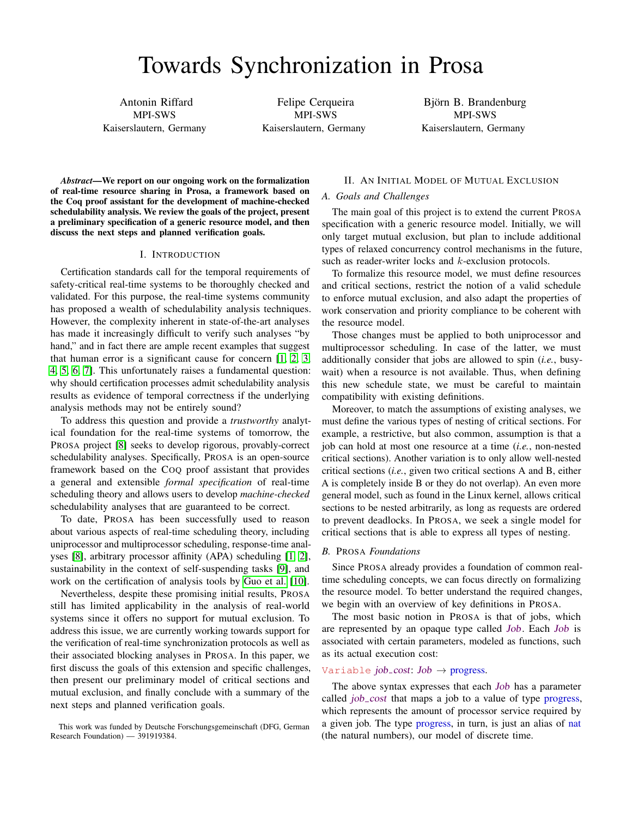Antonin Riffard MPI-SWS Kaiserslautern, Germany

Felipe Cerqueira MPI-SWS Kaiserslautern, Germany

Björn B. Brandenburg MPI-SWS Kaiserslautern, Germany

*Abstract*—We report on our ongoing work on the formalization of real-time resource sharing in Prosa, a framework based on the Coq proof assistant for the development of machine-checked schedulability analysis. We review the goals of the project, present a preliminary specification of a generic resource model, and then discuss the next steps and planned verification goals.

#### I. INTRODUCTION

Certification standards call for the temporal requirements of safety-critical real-time systems to be thoroughly checked and validated. For this purpose, the real-time systems community has proposed a wealth of schedulability analysis techniques. However, the complexity inherent in state-of-the-art analyses has made it increasingly difficult to verify such analyses "by hand," and in fact there are ample recent examples that suggest that human error is a significant cause for concern [\[1,](#page-2-0) [2,](#page-2-1) [3,](#page-2-2) [4,](#page-2-3) [5,](#page-2-4) [6,](#page-2-5) [7\]](#page-2-6). This unfortunately raises a fundamental question: why should certification processes admit schedulability analysis results as evidence of temporal correctness if the underlying analysis methods may not be entirely sound?

To address this question and provide a *trustworthy* analytical foundation for the real-time systems of tomorrow, the PROSA project [\[8\]](#page-2-7) seeks to develop rigorous, provably-correct schedulability analyses. Specifically, PROSA is an open-source framework based on the COQ proof assistant that provides a general and extensible *formal specification* of real-time scheduling theory and allows users to develop *machine-checked* schedulability analyses that are guaranteed to be correct.

To date, PROSA has been successfully used to reason about various aspects of real-time scheduling theory, including uniprocessor and multiprocessor scheduling, response-time analyses [\[8\]](#page-2-7), arbitrary processor affinity (APA) scheduling [\[1,](#page-2-0) [2\]](#page-2-1), sustainability in the context of self-suspending tasks [\[9\]](#page-2-8), and work on the certification of analysis tools by [Guo et al.](#page-2-9) [\[10\]](#page-2-9).

Nevertheless, despite these promising initial results, PROSA still has limited applicability in the analysis of real-world systems since it offers no support for mutual exclusion. To address this issue, we are currently working towards support for the verification of real-time synchronization protocols as well as their associated blocking analyses in PROSA. In this paper, we first discuss the goals of this extension and specific challenges, then present our preliminary model of critical sections and mutual exclusion, and finally conclude with a summary of the next steps and planned verification goals.

# II. AN INITIAL MODEL OF MUTUAL EXCLUSION

#### *A. Goals and Challenges*

The main goal of this project is to extend the current PROSA specification with a generic resource model. Initially, we will only target mutual exclusion, but plan to include additional types of relaxed concurrency control mechanisms in the future, such as reader-writer locks and *k*-exclusion protocols.

To formalize this resource model, we must define resources and critical sections, restrict the notion of a valid schedule to enforce mutual exclusion, and also adapt the properties of work conservation and priority compliance to be coherent with the resource model.

Those changes must be applied to both uniprocessor and multiprocessor scheduling. In case of the latter, we must additionally consider that jobs are allowed to spin (*i.e.*, busywait) when a resource is not available. Thus, when defining this new schedule state, we must be careful to maintain compatibility with existing definitions.

Moreover, to match the assumptions of existing analyses, we must define the various types of nesting of critical sections. For example, a restrictive, but also common, assumption is that a job can hold at most one resource at a time (*i.e.*, non-nested critical sections). Another variation is to only allow well-nested critical sections (*i.e.*, given two critical sections A and B, either A is completely inside B or they do not overlap). An even more general model, such as found in the Linux kernel, allows critical sections to be nested arbitrarily, as long as requests are ordered to prevent deadlocks. In PROSA, we seek a single model for critical sections that is able to express all types of nesting.

## *B.* PROSA *Foundations*

Since PROSA already provides a foundation of common realtime scheduling concepts, we can focus directly on formalizing the resource model. To better understand the required changes, we begin with an overview of key definitions in PROSA.

The most basic notion in PROSA is that of jobs, which are represented by an opaque type called Job. Each Job is associated with certain parameters, modeled as functions, such as its actual execution cost:

# Variable *job*-cost:  $Job \rightarrow$  progress.

The above syntax expresses that each *Job* has a parameter called *job* cost that maps a job to a value of type progress, which represents the amount of processor service required by a given job. The type progress, in turn, is just an alias of nat (the natural numbers), our model of discrete time.

This work was funded by Deutsche Forschungsgemeinschaft (DFG, German Research Foundation) — 391919384.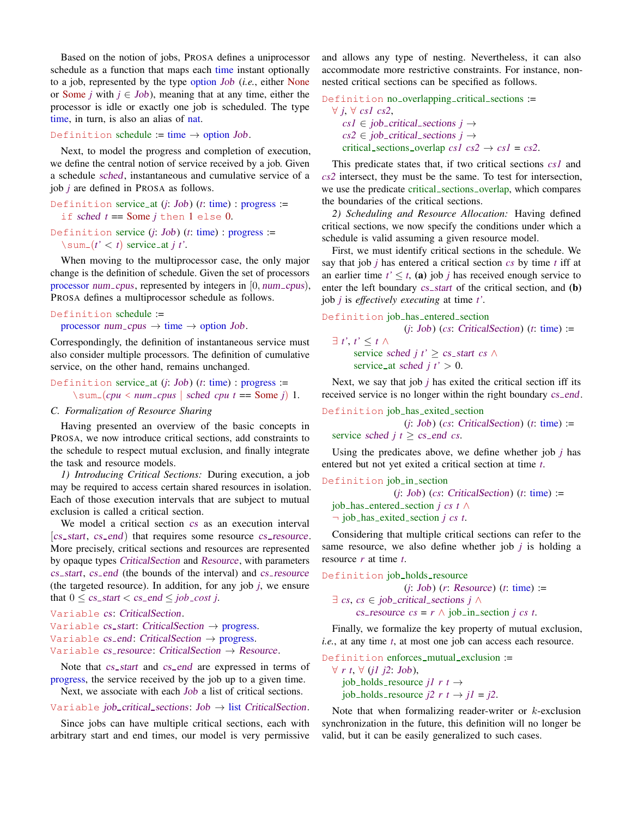Based on the notion of jobs, PROSA defines a uniprocessor schedule as a function that maps each time instant optionally to a job, represented by the type option Job (*i.e.*, either None or Some *j* with  $j \in Job$ ), meaning that at any time, either the processor is idle or exactly one job is scheduled. The type time, in turn, is also an alias of nat.

Definition schedule := time  $\rightarrow$  option Job.

Next, to model the progress and completion of execution, we define the central notion of service received by a job. Given a schedule sched, instantaneous and cumulative service of a job *j* are defined in PROSA as follows.

Definition service at (*j*: Job) (*t*: time) : progress := if sched *t* == Some *j* then 1 else 0.

Definition service (*j*: Job) (*t*: time) : progress :=  $\sum (t' < t)$  service\_at *j t'*.

When moving to the multiprocessor case, the only major change is the definition of schedule. Given the set of processors processor num\_cpus, represented by integers in [0, num\_cpus], PROSA defines a multiprocessor schedule as follows.

```
Definition schedule :=
```
processor num\_cpus  $\rightarrow$  time  $\rightarrow$  option Job.

Correspondingly, the definition of instantaneous service must also consider multiple processors. The definition of cumulative service, on the other hand, remains unchanged.

Definition service at (*j*: Job) (*t*: time) : progress :=  $\sum (cpu < num\_cpus \mid schedule$  *cpu t* = Some *j*) 1.

## *C. Formalization of Resource Sharing*

Having presented an overview of the basic concepts in PROSA, we now introduce critical sections, add constraints to the schedule to respect mutual exclusion, and finally integrate the task and resource models.

*1) Introducing Critical Sections:* During execution, a job may be required to access certain shared resources in isolation. Each of those execution intervals that are subject to mutual exclusion is called a critical section.

We model a critical section cs as an execution interval [cs\_start, cs\_end] that requires some resource cs\_resource. More precisely, critical sections and resources are represented by opaque types CriticalSection and Resource, with parameters cs\_start, cs\_end (the bounds of the interval) and cs\_resource (the targeted resource). In addition, for any job *j*, we ensure that  $0 \leq cs\_start \leq cs\_end \leq job\_cost$  *j*.

```
Variable cs: CriticalSection.
Variable cs_start: CriticalSection \rightarrow progress.
Variable cs_end: CriticalSection \rightarrow progress.
Variable cs_resource: CriticalSection \rightarrow Resource.
```
Note that *cs\_start* and *cs\_end* are expressed in terms of progress, the service received by the job up to a given time.

Next, we associate with each Job a list of critical sections.

### Variable *job\_critical\_sections*:  $Job \rightarrow$  list CriticalSection.

Since jobs can have multiple critical sections, each with arbitrary start and end times, our model is very permissive and allows any type of nesting. Nevertheless, it can also accommodate more restrictive constraints. For instance, nonnested critical sections can be specified as follows.

```
Definition no_overlapping_critical_sections :=
  ∀ j, ∀ cs1 cs2,
     cs1 \in job\_critical\_sections j \rightarrowcs2 \in job\_critical\_sections j \rightarrowcritical sections overlap cs1 \text{ } cs2 \rightarrow cs1 = cs2.
```
This predicate states that, if two critical sections *cs1* and *cs2* intersect, they must be the same. To test for intersection, we use the predicate critical sections overlap, which compares the boundaries of the critical sections.

*2) Scheduling and Resource Allocation:* Having defined critical sections, we now specify the conditions under which a schedule is valid assuming a given resource model.

First, we must identify critical sections in the schedule. We say that job *j* has entered a critical section *cs* by time *t* iff at an earlier time  $t' \leq t$ , (a) job *j* has received enough service to enter the left boundary  $cs\_start$  of the critical section, and  $(b)$ job *j* is *effectively executing* at time *t'*.

```
Definition job has entered section
```

```
(j: Job) (cs: CriticalSection) (t: time) :=
∃ t', t' ≤ t ∧
     service sched j t' > cs_start cs \wedgeservice_at sched j t' > 0.
```
Next, we say that job *j* has exited the critical section iff its received service is no longer within the right boundary  $cs$  end.

```
Definition job has exited section
                   (j: Job) (cs: CriticalSection) (t: time) :=
  service sched j t \geq cs end cs.
```
Using the predicates above, we define whether job *j* has entered but not yet exited a critical section at time *t*.

```
Definition job in section
```
(*j*: Job) (*cs*: CriticalSection) (*t*: time) := job has entered section *j cs t* ∧ ¬ job has exited section *j cs t*.

Considering that multiple critical sections can refer to the same resource, we also define whether job *j* is holding a resource *r* at time *t*.

Definition job holds resource

```
(j: Job) (r: Resource) (t: time) :=
∃ cs, cs ∈ job critical sections j ∧
      cs_resource cs = r \land \text{job_in-section } j \text{ cs } t.
```
Finally, we formalize the key property of mutual exclusion, *i.e.*, at any time *t*, at most one job can access each resource.

Definition enforces mutual exclusion := ∀ *r t*, ∀ (*j1 j2*: Job),  $job\_holds\_resource$  *j1*  $r$  *t*  $\rightarrow$ 

job\_holds\_resource  $i2 \rceil r t \rightarrow i1 = i2$ .

Note that when formalizing reader-writer or  $k$ -exclusion synchronization in the future, this definition will no longer be valid, but it can be easily generalized to such cases.